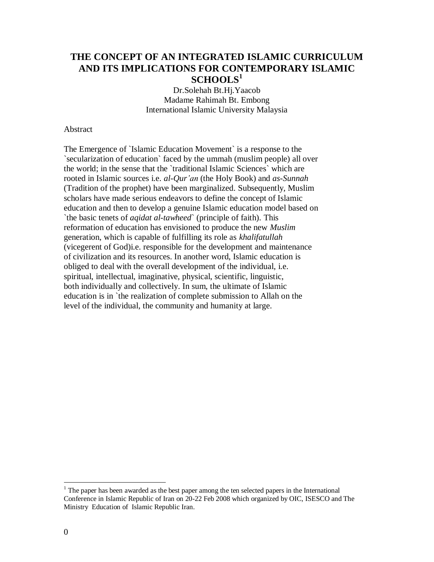### **THE CONCEPT OF AN INTEGRATED ISLAMIC CURRICULUM AND ITS IMPLICATIONS FOR CONTEMPORARY ISLAMIC SCHOOLS<sup>1</sup>**

Dr.Solehah Bt.Hj.Yaacob Madame Rahimah Bt. Embong International Islamic University Malaysia

### Abstract

The Emergence of `Islamic Education Movement` is a response to the `secularization of education` faced by the ummah (muslim people) all over the world; in the sense that the `traditional Islamic Sciences` which are rooted in Islamic sources i.e. *al-Qur'an* (the Holy Book) and *as-Sunnah* (Tradition of the prophet) have been marginalized. Subsequently, Muslim scholars have made serious endeavors to define the concept of Islamic education and then to develop a genuine Islamic education model based on `the basic tenets of *aqidat al-tawheed*` (principle of faith). This reformation of education has envisioned to produce the new *Muslim* generation, which is capable of fulfilling its role as *khalifatullah* (vicegerent of God)i.e. responsible for the development and maintenance of civilization and its resources. In another word, Islamic education is obliged to deal with the overall development of the individual, i.e. spiritual, intellectual, imaginative, physical, scientific, linguistic, both individually and collectively. In sum, the ultimate of Islamic education is in `the realization of complete submission to Allah on the level of the individual, the community and humanity at large.

 $\overline{a}$ 

 $<sup>1</sup>$  The paper has been awarded as the best paper among the ten selected papers in the International</sup> Conference in Islamic Republic of Iran on 20-22 Feb 2008 which organized by OIC, ISESCO and The Ministry Education of Islamic Republic Iran.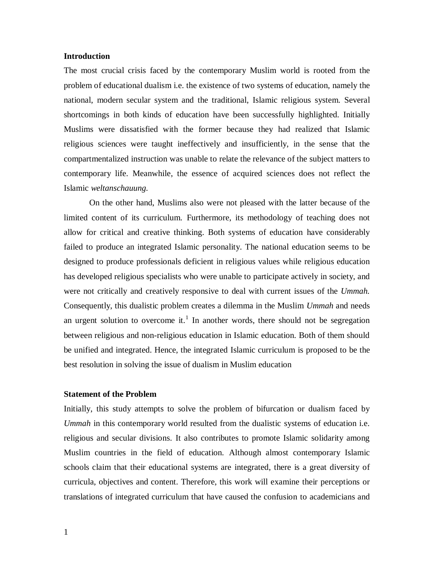### **Introduction**

The most crucial crisis faced by the contemporary Muslim world is rooted from the problem of educational dualism i.e. the existence of two systems of education, namely the national, modern secular system and the traditional, Islamic religious system. Several shortcomings in both kinds of education have been successfully highlighted. Initially Muslims were dissatisfied with the former because they had realized that Islamic religious sciences were taught ineffectively and insufficiently, in the sense that the compartmentalized instruction was unable to relate the relevance of the subject matters to contemporary life. Meanwhile, the essence of acquired sciences does not reflect the Islamic *weltanschauung.*

On the other hand, Muslims also were not pleased with the latter because of the limited content of its curriculum. Furthermore, its methodology of teaching does not allow for critical and creative thinking. Both systems of education have considerably failed to produce an integrated Islamic personality. The national education seems to be designed to produce professionals deficient in religious values while religious education has developed religious specialists who were unable to participate actively in society, and were not critically and creatively responsive to deal with current issues of the *Ummah.* Consequently, this dualistic problem creates a dilemma in the Muslim *Ummah* and needs an urgent solution to overcome it.<sup>1</sup> In another words, there should not be segregation between religious and non-religious education in Islamic education. Both of them should be unified and integrated. Hence, the integrated Islamic curriculum is proposed to be the best resolution in solving the issue of dualism in Muslim education

### **Statement of the Problem**

Initially, this study attempts to solve the problem of bifurcation or dualism faced by *Ummah* in this contemporary world resulted from the dualistic systems of education i.e. religious and secular divisions. It also contributes to promote Islamic solidarity among Muslim countries in the field of education. Although almost contemporary Islamic schools claim that their educational systems are integrated, there is a great diversity of curricula, objectives and content. Therefore, this work will examine their perceptions or translations of integrated curriculum that have caused the confusion to academicians and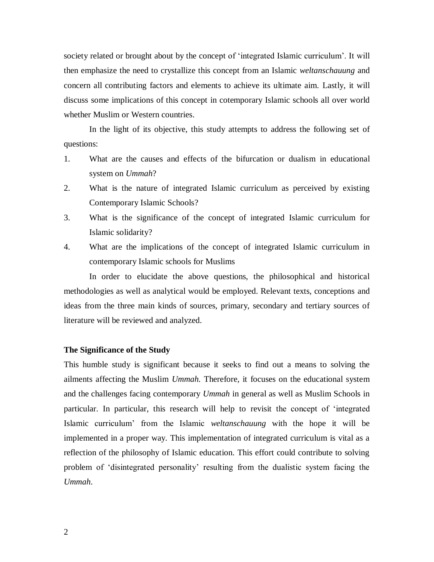society related or brought about by the concept of "integrated Islamic curriculum". It will then emphasize the need to crystallize this concept from an Islamic *weltanschauung* and concern all contributing factors and elements to achieve its ultimate aim. Lastly, it will discuss some implications of this concept in cotemporary Islamic schools all over world whether Muslim or Western countries.

In the light of its objective, this study attempts to address the following set of questions:

- 1. What are the causes and effects of the bifurcation or dualism in educational system on *Ummah*?
- 2. What is the nature of integrated Islamic curriculum as perceived by existing Contemporary Islamic Schools?
- 3. What is the significance of the concept of integrated Islamic curriculum for Islamic solidarity?
- 4. What are the implications of the concept of integrated Islamic curriculum in contemporary Islamic schools for Muslims

In order to elucidate the above questions, the philosophical and historical methodologies as well as analytical would be employed. Relevant texts, conceptions and ideas from the three main kinds of sources, primary, secondary and tertiary sources of literature will be reviewed and analyzed.

### **The Significance of the Study**

This humble study is significant because it seeks to find out a means to solving the ailments affecting the Muslim *Ummah.* Therefore, it focuses on the educational system and the challenges facing contemporary *Ummah* in general as well as Muslim Schools in particular. In particular, this research will help to revisit the concept of "integrated Islamic curriculum" from the Islamic *weltanschauung* with the hope it will be implemented in a proper way. This implementation of integrated curriculum is vital as a reflection of the philosophy of Islamic education. This effort could contribute to solving problem of "disintegrated personality" resulting from the dualistic system facing the *Ummah*.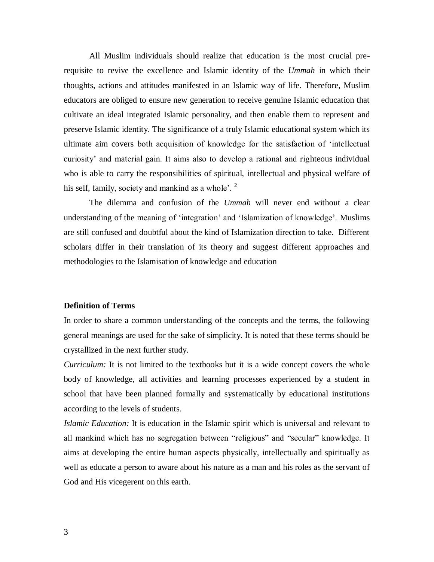All Muslim individuals should realize that education is the most crucial prerequisite to revive the excellence and Islamic identity of the *Ummah* in which their thoughts, actions and attitudes manifested in an Islamic way of life. Therefore, Muslim educators are obliged to ensure new generation to receive genuine Islamic education that cultivate an ideal integrated Islamic personality, and then enable them to represent and preserve Islamic identity. The significance of a truly Islamic educational system which its ultimate aim covers both acquisition of knowledge for the satisfaction of "intellectual curiosity" and material gain. It aims also to develop a rational and righteous individual who is able to carry the responsibilities of spiritual, intellectual and physical welfare of his self, family, society and mankind as a whole'.  $2^{\circ}$ 

The dilemma and confusion of the *Ummah* will never end without a clear understanding of the meaning of "integration" and "Islamization of knowledge". Muslims are still confused and doubtful about the kind of Islamization direction to take. Different scholars differ in their translation of its theory and suggest different approaches and methodologies to the Islamisation of knowledge and education

### **Definition of Terms**

In order to share a common understanding of the concepts and the terms, the following general meanings are used for the sake of simplicity. It is noted that these terms should be crystallized in the next further study.

*Curriculum:* It is not limited to the textbooks but it is a wide concept covers the whole body of knowledge, all activities and learning processes experienced by a student in school that have been planned formally and systematically by educational institutions according to the levels of students.

*Islamic Education:* It is education in the Islamic spirit which is universal and relevant to all mankind which has no segregation between "religious" and "secular" knowledge. It aims at developing the entire human aspects physically, intellectually and spiritually as well as educate a person to aware about his nature as a man and his roles as the servant of God and His vicegerent on this earth.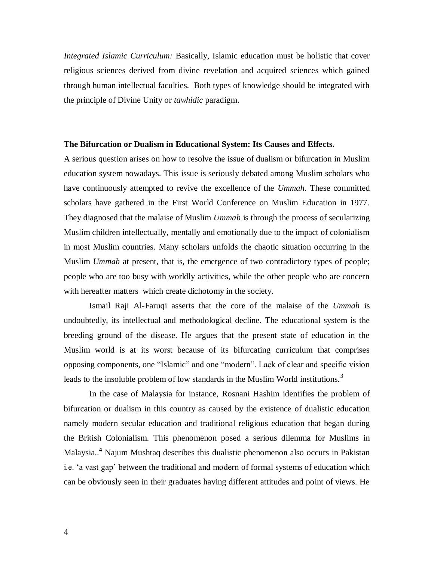*Integrated Islamic Curriculum:* Basically, Islamic education must be holistic that cover religious sciences derived from divine revelation and acquired sciences which gained through human intellectual faculties. Both types of knowledge should be integrated with the principle of Divine Unity or *tawhidic* paradigm.

#### **The Bifurcation or Dualism in Educational System: Its Causes and Effects.**

A serious question arises on how to resolve the issue of dualism or bifurcation in Muslim education system nowadays. This issue is seriously debated among Muslim scholars who have continuously attempted to revive the excellence of the *Ummah.* These committed scholars have gathered in the First World Conference on Muslim Education in 1977. They diagnosed that the malaise of Muslim *Ummah* is through the process of secularizing Muslim children intellectually, mentally and emotionally due to the impact of colonialism in most Muslim countries. Many scholars unfolds the chaotic situation occurring in the Muslim *Ummah* at present, that is, the emergence of two contradictory types of people; people who are too busy with worldly activities, while the other people who are concern with hereafter matters which create dichotomy in the society.

Ismail Raji Al-Faruqi asserts that the core of the malaise of the *Ummah* is undoubtedly, its intellectual and methodological decline. The educational system is the breeding ground of the disease. He argues that the present state of education in the Muslim world is at its worst because of its bifurcating curriculum that comprises opposing components, one "Islamic" and one "modern". Lack of clear and specific vision leads to the insoluble problem of low standards in the Muslim World institutions.<sup>3</sup>

In the case of Malaysia for instance, Rosnani Hashim identifies the problem of bifurcation or dualism in this country as caused by the existence of dualistic education namely modern secular education and traditional religious education that began during the British Colonialism. This phenomenon posed a serious dilemma for Muslims in Malaysia.. **<sup>4</sup>** Najum Mushtaq describes this dualistic phenomenon also occurs in Pakistan i.e. "a vast gap" between the traditional and modern of formal systems of education which can be obviously seen in their graduates having different attitudes and point of views. He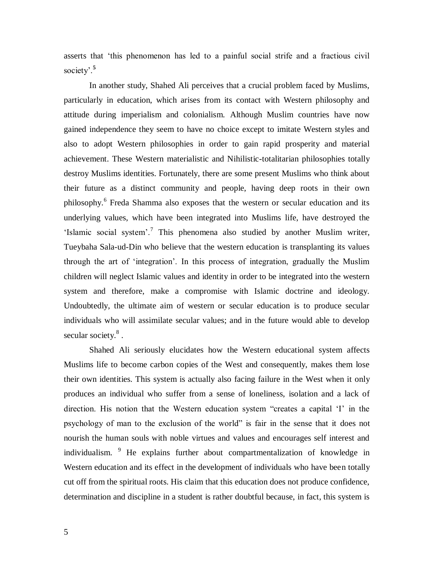asserts that "this phenomenon has led to a painful social strife and a fractious civil society'.<sup>5</sup>

In another study, Shahed Ali perceives that a crucial problem faced by Muslims, particularly in education, which arises from its contact with Western philosophy and attitude during imperialism and colonialism. Although Muslim countries have now gained independence they seem to have no choice except to imitate Western styles and also to adopt Western philosophies in order to gain rapid prosperity and material achievement. These Western materialistic and Nihilistic-totalitarian philosophies totally destroy Muslims identities. Fortunately, there are some present Muslims who think about their future as a distinct community and people, having deep roots in their own philosophy.<sup>6</sup> Freda Shamma also exposes that the western or secular education and its underlying values, which have been integrated into Muslims life, have destroyed the 'Islamic social system'.<sup>7</sup> This phenomena also studied by another Muslim writer, Tueybaha Sala-ud-Din who believe that the western education is transplanting its values through the art of "integration". In this process of integration, gradually the Muslim children will neglect Islamic values and identity in order to be integrated into the western system and therefore, make a compromise with Islamic doctrine and ideology. Undoubtedly, the ultimate aim of western or secular education is to produce secular individuals who will assimilate secular values; and in the future would able to develop secular society.<sup>8</sup>.

Shahed Ali seriously elucidates how the Western educational system affects Muslims life to become carbon copies of the West and consequently, makes them lose their own identities. This system is actually also facing failure in the West when it only produces an individual who suffer from a sense of loneliness, isolation and a lack of direction. His notion that the Western education system "creates a capital "I" in the psychology of man to the exclusion of the world" is fair in the sense that it does not nourish the human souls with noble virtues and values and encourages self interest and individualism. <sup>9</sup> He explains further about compartmentalization of knowledge in Western education and its effect in the development of individuals who have been totally cut off from the spiritual roots. His claim that this education does not produce confidence, determination and discipline in a student is rather doubtful because, in fact, this system is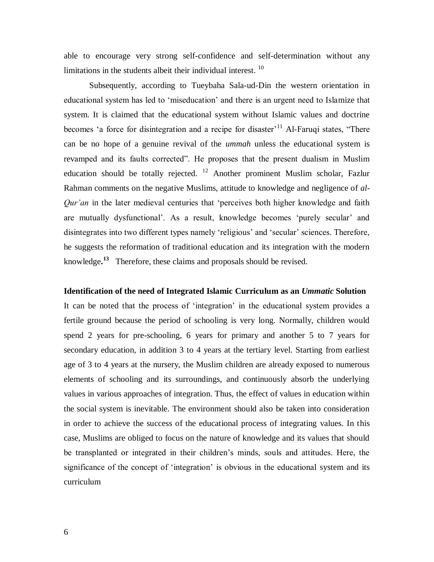able to encourage very strong self-confidence and self-determination without any limitations in the students albeit their individual interest. <sup>10</sup>

Subsequently, according to Tueybaha Sala-ud-Din the western orientation in educational system has led to "miseducation" and there is an urgent need to Islamize that system. It is claimed that the educational system without Islamic values and doctrine becomes 'a force for disintegration and a recipe for disaster<sup> $11$ </sup> Al-Faruqi states, "There can be no hope of a genuine revival of the *ummah* unless the educational system is revamped and its faults corrected". He proposes that the present dualism in Muslim education should be totally rejected.  $12$  Another prominent Muslim scholar, Fazlur Rahman comments on the negative Muslims, attitude to knowledge and negligence of *al-Qur'an* in the later medieval centuries that 'perceives both higher knowledge and faith are mutually dysfunctional". As a result, knowledge becomes "purely secular" and disintegrates into two different types namely 'religious' and 'secular' sciences. Therefore, he suggests the reformation of traditional education and its integration with the modern knowledge**. 13** Therefore, these claims and proposals should be revised.

#### **Identification of the need of Integrated Islamic Curriculum as an** *Ummatic* **Solution**

It can be noted that the process of "integration" in the educational system provides a fertile ground because the period of schooling is very long. Normally, children would spend 2 years for pre-schooling, 6 years for primary and another 5 to 7 years for secondary education, in addition 3 to 4 years at the tertiary level. Starting from earliest age of 3 to 4 years at the nursery, the Muslim children are already exposed to numerous elements of schooling and its surroundings, and continuously absorb the underlying values in various approaches of integration. Thus, the effect of values in education within the social system is inevitable. The environment should also be taken into consideration in order to achieve the success of the educational process of integrating values. In this case, Muslims are obliged to focus on the nature of knowledge and its values that should be transplanted or integrated in their children"s minds, souls and attitudes. Here, the significance of the concept of "integration" is obvious in the educational system and its curriculum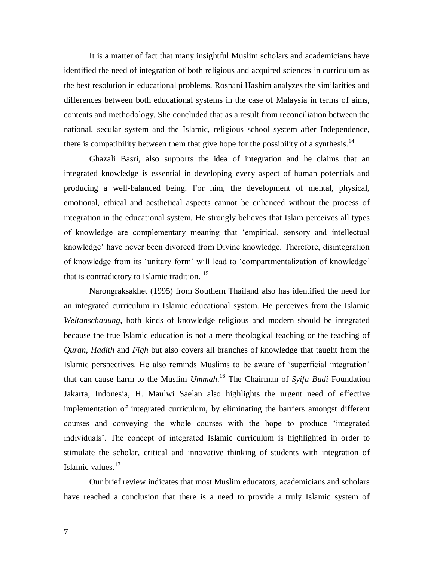It is a matter of fact that many insightful Muslim scholars and academicians have identified the need of integration of both religious and acquired sciences in curriculum as the best resolution in educational problems. Rosnani Hashim analyzes the similarities and differences between both educational systems in the case of Malaysia in terms of aims, contents and methodology. She concluded that as a result from reconciliation between the national, secular system and the Islamic, religious school system after Independence, there is compatibility between them that give hope for the possibility of a synthesis.<sup>14</sup>

Ghazali Basri, also supports the idea of integration and he claims that an integrated knowledge is essential in developing every aspect of human potentials and producing a well-balanced being. For him, the development of mental, physical, emotional, ethical and aesthetical aspects cannot be enhanced without the process of integration in the educational system. He strongly believes that Islam perceives all types of knowledge are complementary meaning that "empirical, sensory and intellectual knowledge" have never been divorced from Divine knowledge. Therefore, disintegration of knowledge from its "unitary form" will lead to "compartmentalization of knowledge" that is contradictory to Islamic tradition.<sup>15</sup>

Narongraksakhet (1995) from Southern Thailand also has identified the need for an integrated curriculum in Islamic educational system. He perceives from the Islamic *Weltanschauung*, both kinds of knowledge religious and modern should be integrated because the true Islamic education is not a mere theological teaching or the teaching of *Quran, Hadith* and *Fiqh* but also covers all branches of knowledge that taught from the Islamic perspectives. He also reminds Muslims to be aware of "superficial integration" that can cause harm to the Muslim *Ummah*. <sup>16</sup> The Chairman of *Syifa Budi* Foundation Jakarta, Indonesia, H. Maulwi Saelan also highlights the urgent need of effective implementation of integrated curriculum, by eliminating the barriers amongst different courses and conveying the whole courses with the hope to produce "integrated individuals". The concept of integrated Islamic curriculum is highlighted in order to stimulate the scholar, critical and innovative thinking of students with integration of Islamic values.<sup>17</sup>

Our brief review indicates that most Muslim educators, academicians and scholars have reached a conclusion that there is a need to provide a truly Islamic system of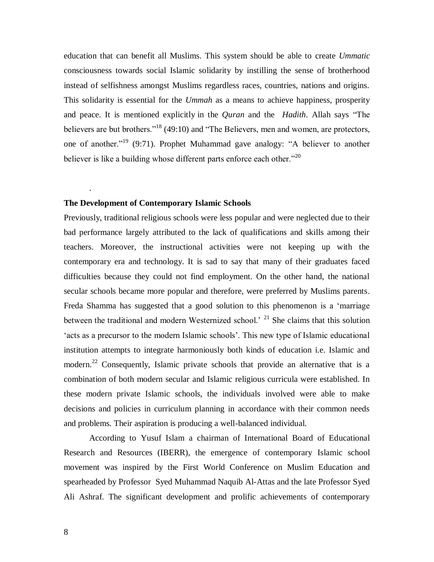education that can benefit all Muslims. This system should be able to create *Ummatic* consciousness towards social Islamic solidarity by instilling the sense of brotherhood instead of selfishness amongst Muslims regardless races, countries, nations and origins. This solidarity is essential for the *Ummah* as a means to achieve happiness, prosperity and peace. It is mentioned explicitly in the *Quran* and the *Hadith*. Allah says "The believers are but brothers."<sup>18</sup> (49:10) and "The Believers, men and women, are protectors, one of another."<sup>19</sup> (9:71). Prophet Muhammad gave analogy: "A believer to another believer is like a building whose different parts enforce each other. $120$ 

### **The Development of Contemporary Islamic Schools**

.

Previously, traditional religious schools were less popular and were neglected due to their bad performance largely attributed to the lack of qualifications and skills among their teachers. Moreover, the instructional activities were not keeping up with the contemporary era and technology. It is sad to say that many of their graduates faced difficulties because they could not find employment. On the other hand, the national secular schools became more popular and therefore, were preferred by Muslims parents. Freda Shamma has suggested that a good solution to this phenomenon is a "marriage between the traditional and modern Westernized school.<sup>2</sup> <sup>21</sup> She claims that this solution acts as a precursor to the modern Islamic schools'. This new type of Islamic educational institution attempts to integrate harmoniously both kinds of education i.e. Islamic and modern.<sup>22</sup> Consequently, Islamic private schools that provide an alternative that is a combination of both modern secular and Islamic religious curricula were established. In these modern private Islamic schools, the individuals involved were able to make decisions and policies in curriculum planning in accordance with their common needs and problems. Their aspiration is producing a well-balanced individual.

According to Yusuf Islam a chairman of International Board of Educational Research and Resources (IBERR), the emergence of contemporary Islamic school movement was inspired by the First World Conference on Muslim Education and spearheaded by Professor Syed Muhammad Naquib Al-Attas and the late Professor Syed Ali Ashraf. The significant development and prolific achievements of contemporary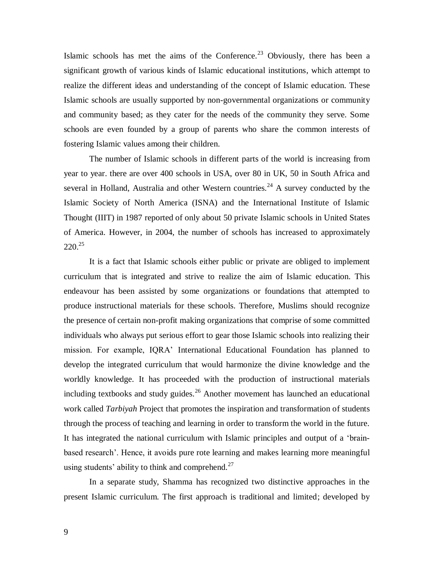Islamic schools has met the aims of the Conference.<sup>23</sup> Obviously, there has been a significant growth of various kinds of Islamic educational institutions, which attempt to realize the different ideas and understanding of the concept of Islamic education. These Islamic schools are usually supported by non-governmental organizations or community and community based; as they cater for the needs of the community they serve. Some schools are even founded by a group of parents who share the common interests of fostering Islamic values among their children.

The number of Islamic schools in different parts of the world is increasing from year to year. there are over 400 schools in USA, over 80 in UK, 50 in South Africa and several in Holland, Australia and other Western countries.<sup>24</sup> A survey conducted by the Islamic Society of North America (ISNA) and the International Institute of Islamic Thought (IIIT) in 1987 reported of only about 50 private Islamic schools in United States of America. However, in 2004, the number of schools has increased to approximately  $220.<sup>25</sup>$ 

It is a fact that Islamic schools either public or private are obliged to implement curriculum that is integrated and strive to realize the aim of Islamic education. This endeavour has been assisted by some organizations or foundations that attempted to produce instructional materials for these schools. Therefore, Muslims should recognize the presence of certain non-profit making organizations that comprise of some committed individuals who always put serious effort to gear those Islamic schools into realizing their mission. For example, IQRA" International Educational Foundation has planned to develop the integrated curriculum that would harmonize the divine knowledge and the worldly knowledge. It has proceeded with the production of instructional materials including textbooks and study guides.<sup>26</sup> Another movement has launched an educational work called *Tarbiyah* Project that promotes the inspiration and transformation of students through the process of teaching and learning in order to transform the world in the future. It has integrated the national curriculum with Islamic principles and output of a "brainbased research". Hence, it avoids pure rote learning and makes learning more meaningful using students' ability to think and comprehend. $^{27}$ 

In a separate study, Shamma has recognized two distinctive approaches in the present Islamic curriculum. The first approach is traditional and limited; developed by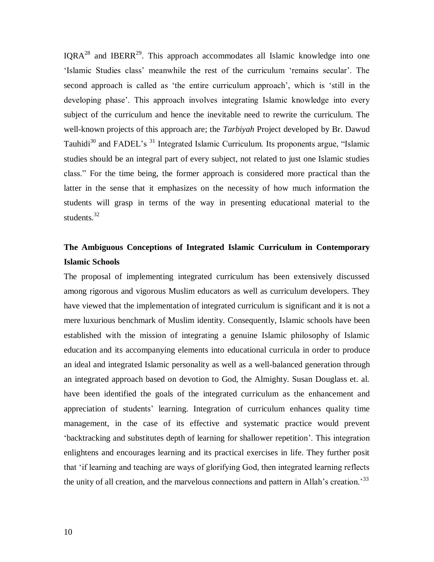$IORA<sup>28</sup>$  and IBERR<sup>29</sup>. This approach accommodates all Islamic knowledge into one "Islamic Studies class" meanwhile the rest of the curriculum "remains secular". The second approach is called as "the entire curriculum approach", which is "still in the developing phase'. This approach involves integrating Islamic knowledge into every subject of the curriculum and hence the inevitable need to rewrite the curriculum. The well-known projects of this approach are; the *Tarbiyah* Project developed by Br. Dawud Tauhidi $30$  and FADEL's  $31$  Integrated Islamic Curriculum. Its proponents argue, "Islamic studies should be an integral part of every subject, not related to just one Islamic studies class." For the time being, the former approach is considered more practical than the latter in the sense that it emphasizes on the necessity of how much information the students will grasp in terms of the way in presenting educational material to the students. $32$ 

# **The Ambiguous Conceptions of Integrated Islamic Curriculum in Contemporary Islamic Schools**

The proposal of implementing integrated curriculum has been extensively discussed among rigorous and vigorous Muslim educators as well as curriculum developers. They have viewed that the implementation of integrated curriculum is significant and it is not a mere luxurious benchmark of Muslim identity. Consequently, Islamic schools have been established with the mission of integrating a genuine Islamic philosophy of Islamic education and its accompanying elements into educational curricula in order to produce an ideal and integrated Islamic personality as well as a well-balanced generation through an integrated approach based on devotion to God, the Almighty. Susan Douglass et. al. have been identified the goals of the integrated curriculum as the enhancement and appreciation of students" learning. Integration of curriculum enhances quality time management, in the case of its effective and systematic practice would prevent "backtracking and substitutes depth of learning for shallower repetition". This integration enlightens and encourages learning and its practical exercises in life. They further posit that "if learning and teaching are ways of glorifying God, then integrated learning reflects the unity of all creation, and the marvelous connections and pattern in Allah's creation.<sup>33</sup>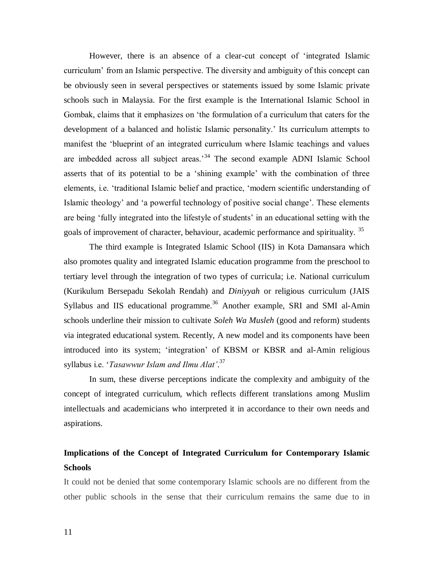However, there is an absence of a clear-cut concept of "integrated Islamic curriculum" from an Islamic perspective. The diversity and ambiguity of this concept can be obviously seen in several perspectives or statements issued by some Islamic private schools such in Malaysia. For the first example is the International Islamic School in Gombak, claims that it emphasizes on "the formulation of a curriculum that caters for the development of a balanced and holistic Islamic personality." Its curriculum attempts to manifest the "blueprint of an integrated curriculum where Islamic teachings and values are imbedded across all subject areas.<sup>34</sup> The second example ADNI Islamic School asserts that of its potential to be a "shining example" with the combination of three elements, i.e. "traditional Islamic belief and practice, "modern scientific understanding of Islamic theology' and 'a powerful technology of positive social change'. These elements are being 'fully integrated into the lifestyle of students' in an educational setting with the goals of improvement of character, behaviour, academic performance and spirituality.<sup>35</sup>

The third example is Integrated Islamic School (IIS) in Kota Damansara which also promotes quality and integrated Islamic education programme from the preschool to tertiary level through the integration of two types of curricula; i.e. National curriculum (Kurikulum Bersepadu Sekolah Rendah) and *Diniyyah* or religious curriculum (JAIS Syllabus and IIS educational programme.<sup>36</sup> Another example, SRI and SMI al-Amin schools underline their mission to cultivate *Soleh Wa Musleh* (good and reform) students via integrated educational system. Recently, A new model and its components have been introduced into its system; "integration" of KBSM or KBSR and al-Amin religious syllabus i.e. "*Tasawwur Islam and Ilmu Alat'*. 37

In sum, these diverse perceptions indicate the complexity and ambiguity of the concept of integrated curriculum, which reflects different translations among Muslim intellectuals and academicians who interpreted it in accordance to their own needs and aspirations.

# **Implications of the Concept of Integrated Curriculum for Contemporary Islamic Schools**

It could not be denied that some contemporary Islamic schools are no different from the other public schools in the sense that their curriculum remains the same due to in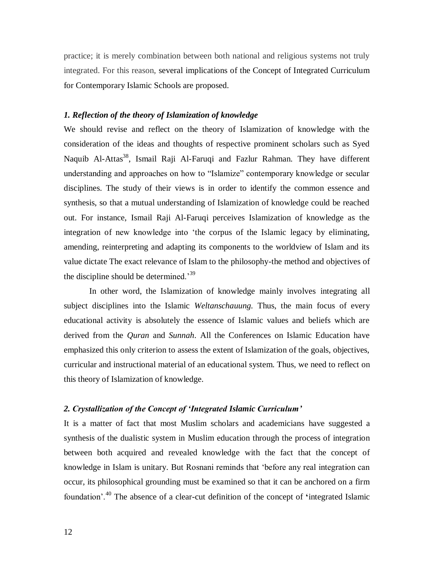practice; it is merely combination between both national and religious systems not truly integrated. For this reason, several implications of the Concept of Integrated Curriculum for Contemporary Islamic Schools are proposed.

### *1. Reflection of the theory of Islamization of knowledge*

We should revise and reflect on the theory of Islamization of knowledge with the consideration of the ideas and thoughts of respective prominent scholars such as Syed Naquib Al-Attas<sup>38</sup>, Ismail Raji Al-Faruqi and Fazlur Rahman. They have different understanding and approaches on how to "Islamize" contemporary knowledge or secular disciplines. The study of their views is in order to identify the common essence and synthesis, so that a mutual understanding of Islamization of knowledge could be reached out. For instance, Ismail Raji Al-Faruqi perceives Islamization of knowledge as the integration of new knowledge into "the corpus of the Islamic legacy by eliminating, amending, reinterpreting and adapting its components to the worldview of Islam and its value dictate The exact relevance of Islam to the philosophy-the method and objectives of the discipline should be determined.<sup>39</sup>

In other word, the Islamization of knowledge mainly involves integrating all subject disciplines into the Islamic *Weltanschauung.* Thus, the main focus of every educational activity is absolutely the essence of Islamic values and beliefs which are derived from the *Quran* and *Sunnah*. All the Conferences on Islamic Education have emphasized this only criterion to assess the extent of Islamization of the goals, objectives, curricular and instructional material of an educational system. Thus, we need to reflect on this theory of Islamization of knowledge.

### *2. Crystallization of the Concept of 'Integrated Islamic Curriculum'*

It is a matter of fact that most Muslim scholars and academicians have suggested a synthesis of the dualistic system in Muslim education through the process of integration between both acquired and revealed knowledge with the fact that the concept of knowledge in Islam is unitary. But Rosnani reminds that "before any real integration can occur, its philosophical grounding must be examined so that it can be anchored on a firm foundation".<sup>40</sup> The absence of a clear-cut definition of the concept of **'**integrated Islamic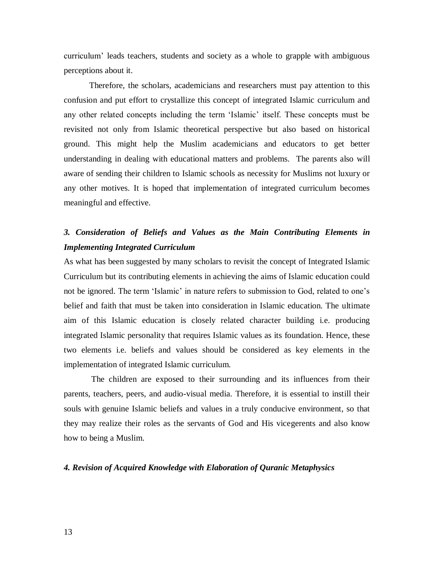curriculum" leads teachers, students and society as a whole to grapple with ambiguous perceptions about it.

Therefore, the scholars, academicians and researchers must pay attention to this confusion and put effort to crystallize this concept of integrated Islamic curriculum and any other related concepts including the term "Islamic" itself. These concepts must be revisited not only from Islamic theoretical perspective but also based on historical ground. This might help the Muslim academicians and educators to get better understanding in dealing with educational matters and problems. The parents also will aware of sending their children to Islamic schools as necessity for Muslims not luxury or any other motives. It is hoped that implementation of integrated curriculum becomes meaningful and effective.

# *3. Consideration of Beliefs and Values as the Main Contributing Elements in Implementing Integrated Curriculum*

As what has been suggested by many scholars to revisit the concept of Integrated Islamic Curriculum but its contributing elements in achieving the aims of Islamic education could not be ignored. The term 'Islamic' in nature refers to submission to God, related to one's belief and faith that must be taken into consideration in Islamic education. The ultimate aim of this Islamic education is closely related character building i.e. producing integrated Islamic personality that requires Islamic values as its foundation. Hence, these two elements i.e. beliefs and values should be considered as key elements in the implementation of integrated Islamic curriculum.

The children are exposed to their surrounding and its influences from their parents, teachers, peers, and audio-visual media. Therefore, it is essential to instill their souls with genuine Islamic beliefs and values in a truly conducive environment, so that they may realize their roles as the servants of God and His vicegerents and also know how to being a Muslim.

### *4. Revision of Acquired Knowledge with Elaboration of Quranic Metaphysics*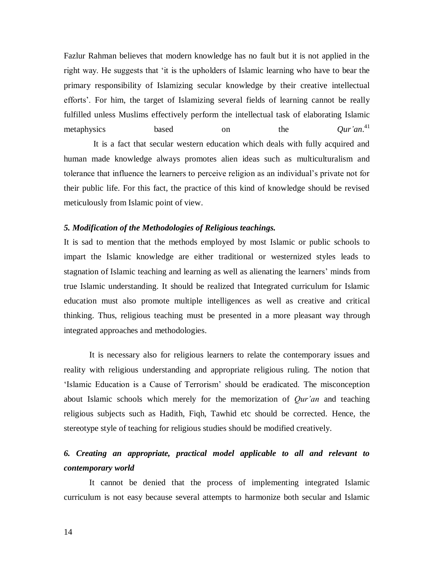Fazlur Rahman believes that modern knowledge has no fault but it is not applied in the right way. He suggests that "it is the upholders of Islamic learning who have to bear the primary responsibility of Islamizing secular knowledge by their creative intellectual efforts'. For him, the target of Islamizing several fields of learning cannot be really fulfilled unless Muslims effectively perform the intellectual task of elaborating Islamic metaphysics based on the Our'an. $41$  It is a fact that secular western education which deals with fully acquired and human made knowledge always promotes alien ideas such as multiculturalism and tolerance that influence the learners to perceive religion as an individual"s private not for their public life. For this fact, the practice of this kind of knowledge should be revised meticulously from Islamic point of view.

#### *5. Modification of the Methodologies of Religious teachings.*

It is sad to mention that the methods employed by most Islamic or public schools to impart the Islamic knowledge are either traditional or westernized styles leads to stagnation of Islamic teaching and learning as well as alienating the learners" minds from true Islamic understanding. It should be realized that Integrated curriculum for Islamic education must also promote multiple intelligences as well as creative and critical thinking. Thus, religious teaching must be presented in a more pleasant way through integrated approaches and methodologies.

It is necessary also for religious learners to relate the contemporary issues and reality with religious understanding and appropriate religious ruling. The notion that "Islamic Education is a Cause of Terrorism" should be eradicated. The misconception about Islamic schools which merely for the memorization of *Qur'an* and teaching religious subjects such as Hadith, Fiqh, Tawhid etc should be corrected. Hence, the stereotype style of teaching for religious studies should be modified creatively.

# *6. Creating an appropriate, practical model applicable to all and relevant to contemporary world*

It cannot be denied that the process of implementing integrated Islamic curriculum is not easy because several attempts to harmonize both secular and Islamic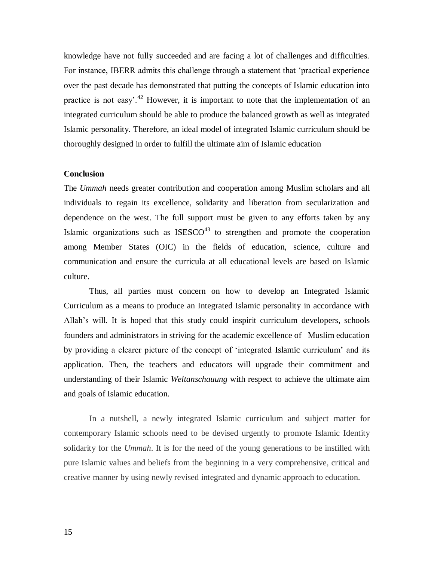knowledge have not fully succeeded and are facing a lot of challenges and difficulties. For instance, IBERR admits this challenge through a statement that "practical experience over the past decade has demonstrated that putting the concepts of Islamic education into practice is not easy'.<sup>42</sup> However, it is important to note that the implementation of an integrated curriculum should be able to produce the balanced growth as well as integrated Islamic personality. Therefore, an ideal model of integrated Islamic curriculum should be thoroughly designed in order to fulfill the ultimate aim of Islamic education

#### **Conclusion**

The *Ummah* needs greater contribution and cooperation among Muslim scholars and all individuals to regain its excellence, solidarity and liberation from secularization and dependence on the west. The full support must be given to any efforts taken by any Islamic organizations such as  $ISESCO<sup>43</sup>$  to strengthen and promote the cooperation among Member States (OIC) in the fields of education, science, culture and communication and ensure the curricula at all educational levels are based on Islamic culture.

Thus, all parties must concern on how to develop an Integrated Islamic Curriculum as a means to produce an Integrated Islamic personality in accordance with Allah"s will. It is hoped that this study could inspirit curriculum developers, schools founders and administrators in striving for the academic excellence of Muslim education by providing a clearer picture of the concept of "integrated Islamic curriculum" and its application. Then, the teachers and educators will upgrade their commitment and understanding of their Islamic *Weltanschauung* with respect to achieve the ultimate aim and goals of Islamic education.

In a nutshell, a newly integrated Islamic curriculum and subject matter for contemporary Islamic schools need to be devised urgently to promote Islamic Identity solidarity for the *Ummah*. It is for the need of the young generations to be instilled with pure Islamic values and beliefs from the beginning in a very comprehensive, critical and creative manner by using newly revised integrated and dynamic approach to education.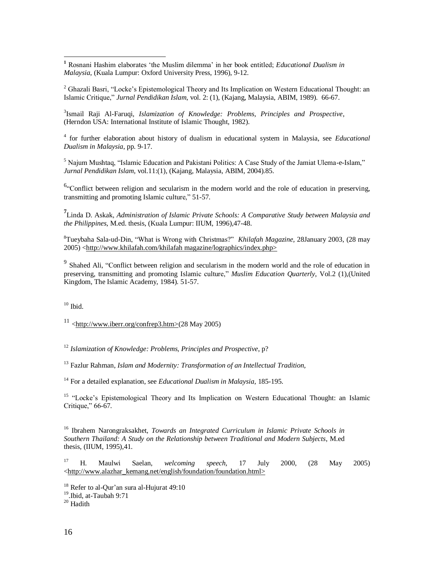$\overline{a}$ **<sup>1</sup>** Rosnani Hashim elaborates "the Muslim dilemma" in her book entitled; *Educational Dualism in Malaysia*, (Kuala Lumpur: Oxford University Press, 1996), 9-12.

 $2$  Ghazali Basri, "Locke's Epistemological Theory and Its Implication on Western Educational Thought: an Islamic Critique," *Jurnal Pendidikan Islam*, vol. 2: (1), (Kajang, Malaysia, ABIM, 1989). 66-67.

3 Ismail Raji Al-Faruqi*, Islamization of Knowledge: Problems, Principles and Prospective*, (Herndon USA: International Institute of Islamic Thought, 1982).

4 for further elaboration about history of dualism in educational system in Malaysia, see *Educational Dualism in Malaysia*, pp. 9-17.

<sup>5</sup> Najum Mushtaq, "Islamic Education and Pakistani Politics: A Case Study of the Jamiat Ulema-e-Islam," *Jurnal Pendidikan Islam,* vol.11:(1), (Kajang, Malaysia, ABIM, 2004).85.

 $^{6}$ <sup>c</sup>Conflict between religion and secularism in the modern world and the role of education in preserving, transmitting and promoting Islamic culture," 51-57.

**7** Linda D. Askak*, Administration of Islamic Private Schools: A Comparative Study between Malaysia and the Philippines*, M.ed. thesis, (Kuala Lumpur: IIUM, 1996),47-48.

<sup>8</sup>Tueybaha Sala-ud-Din, "What is Wrong with Christmas?" *Khilafah Magazine,* 28January 2003, (28 may 2005) [<http://www.khilafah.com/khilafah magazine/lographics/index.php>](http://www.khilafah.com/khilafah%20magazine/lographics/index.php%3e)

<sup>9</sup> Shahed Ali, "Conflict between religion and secularism in the modern world and the role of education in preserving, transmitting and promoting Islamic culture," *Muslim Education Quarterly*, Vol.2 (1),(United Kingdom, The Islamic Academy, 1984). 51-57.

 $10$  Ibid.

 $11$  [<http://www.iberr.org/confrep3.htm>\(](http://www.iberr.org/confrep3.htm%3e.)28 May 2005)

<sup>12</sup> *Islamization of Knowledge: Problems, Principles and Prospective*, p?

<sup>13</sup> Fazlur Rahman, *Islam and Modernity: Transformation of an Intellectual Tradition,*

<sup>14</sup> For a detailed explanation, see *Educational Dualism in Malaysia*, 185-195.

<sup>15</sup> "Locke's Epistemological Theory and Its Implication on Western Educational Thought: an Islamic Critique," 66-67.

<sup>16</sup> Ibrahem Narongraksakhet, *Towards an Integrated Curriculum in Islamic Private Schools in Southern Thailand: A Study on the Relationship between Traditional and Modern Subjects*, M.ed thesis, (IIUM, 1995),41.

<sup>17</sup> H. Maulwi Saelan, *welcoming speech,* 17 July 2000, (28 May 2005) [<http://www.alazhar\\_kemang.net/english/foundation/foundation.html>](http://www.alazhar_kemang.net/english/foundation/foundation.html%3e%20retrieved)

<sup>19</sup>.Ibid, at-Taubah 9:71

<sup>&</sup>lt;sup>18</sup> Refer to al-Qur'an sura al-Hujurat 49:10

 $20$  Hadith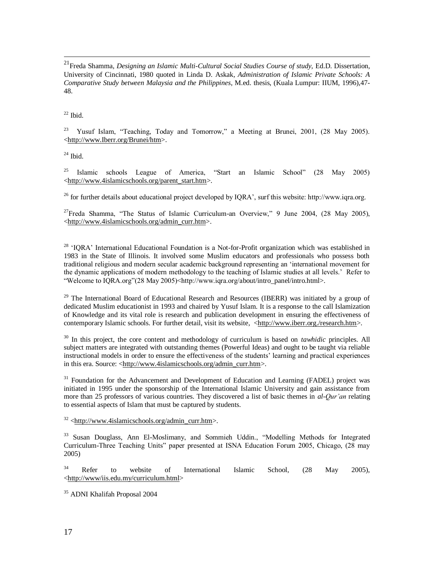<sup>21</sup>Freda Shamma, *Designing an Islamic Multi-Cultural Social Studies Course of study,* Ed.D. Dissertation, University of Cincinnati, 1980 quoted in Linda D. Askak*, Administration of Islamic Private Schools: A Comparative Study between Malaysia and the Philippines*, M.ed. thesis, (Kuala Lumpur: IIUM, 1996),47- 48.

 $22$  Ibid.

 $\overline{a}$ 

23 Yusuf Islam, "Teaching, Today and Tomorrow," a Meeting at Brunei, 2001, (28 May 2005). [<http://www.Iberr.org/Brunei/htm>](http://www.iberr.org/Brunei/htm).

 $24$  Ibid.

<sup>25</sup> Islamic schools League of America, "Start an Islamic School" (28 May 2005) [<http://www.4islamicschools.org/parent\\_start.htm>](http://www.4islamicschools.org/parent_start.htm).

<sup>26</sup> for further details about educational project developed by IORA', surf this website: http://www.igra.org.

<sup>27</sup>Freda Shamma, "The Status of Islamic Curriculum-an Overview," 9 June 2004, (28 May 2005), [<http://www.4islamicschools.org/admin\\_curr.htm>](http://www.4islamicschools.org/admin_curr.htm).

<sup>28</sup> 'IORA' International Educational Foundation is a Not-for-Profit organization which was established in 1983 in the State of Illinois. It involved some Muslim educators and professionals who possess both traditional religious and modern secular academic background representing an "international movement for the dynamic applications of modern methodology to the teaching of Islamic studies at all levels." Refer to "Welcome to IQRA.org"(28 May 2005)<http://www.iqra.org/about/intro\_panel/intro.html>.

 $^{29}$  The International Board of Educational Research and Resources (IBERR) was initiated by a group of dedicated Muslim educationist in 1993 and chaired by Yusuf Islam. It is a response to the call Islamization of Knowledge and its vital role is research and publication development in ensuring the effectiveness of contemporary Islamic schools. For further detail, visit its website, [<http://www.iberr.org./research.htm>](http://www.iberr.org./research.htm).

<sup>30</sup> In this project, the core content and methodology of curriculum is based on *tawhidic* principles. All subject matters are integrated with outstanding themes (Powerful Ideas) and ought to be taught via reliable instructional models in order to ensure the effectiveness of the students" learning and practical experiences in this era. Source: [<http://www.4islamicschools.org/admin\\_curr.htm>](http://www.4islamicschools.org/admin_curr.htm).

 $31$  Foundation for the Advancement and Development of Education and Learning (FADEL) project was initiated in 1995 under the sponsorship of the International Islamic University and gain assistance from more than 25 professors of various countries. They discovered a list of basic themes in *al-Qur'an* relating to essential aspects of Islam that must be captured by students.

 $32$  [<http://www.4islamicschools.org/admin\\_curr.htm>](http://www.4islamicschools.org/admin_curr.htm).

<sup>33</sup> Susan Douglass, Ann El-Moslimany, and Sommieh Uddin., "Modelling Methods for Integrated Curriculum-Three Teaching Units" paper presented at ISNA Education Forum 2005, Chicago, (28 may 2005)

 $34$  Refer to website of International Islamic School,  $(28$  May 2005), [<http://www/iis.edu.my/curriculum.html>](http://www/iis.edu.my/curriculum.html)

<sup>35</sup> ADNI Khalifah Proposal 2004